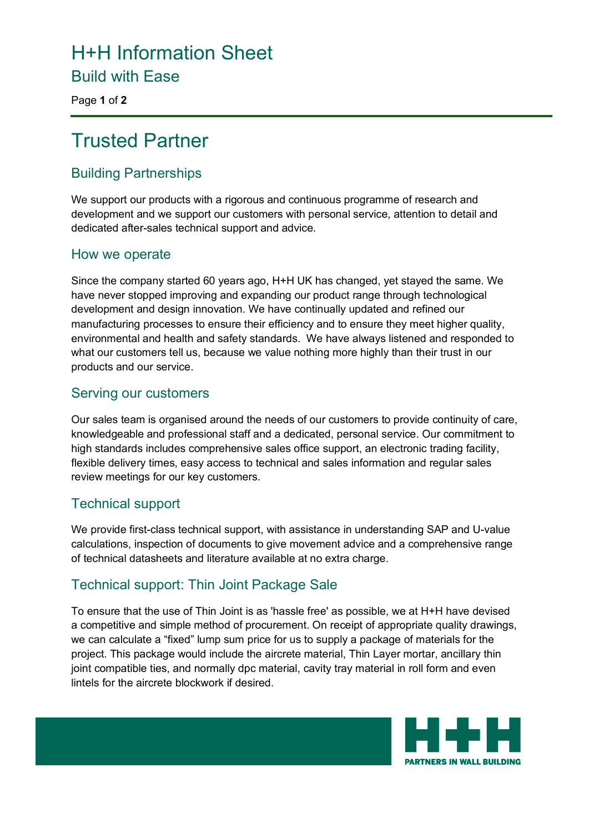# H+H Information Sheet

Build with Ease

Page **1** of **2**

# Trusted Partner

## Building Partnerships

We support our products with a rigorous and continuous programme of research and development and we support our customers with personal service, attention to detail and dedicated after-sales technical support and advice.

#### How we operate

Since the company started 60 years ago, H+H UK has changed, yet stayed the same. We have never stopped improving and expanding our product range through technological development and design innovation. We have continually updated and refined our manufacturing processes to ensure their efficiency and to ensure they meet higher quality, environmental and health and safety standards. We have always listened and responded to what our customers tell us, because we value nothing more highly than their trust in our products and our service.

#### Serving our customers

Our sales team is organised around the needs of our customers to provide continuity of care, knowledgeable and professional staff and a dedicated, personal service. Our commitment to high standards includes comprehensive sales office support, an electronic trading facility, flexible delivery times, easy access to technical and sales information and regular sales review meetings for our key customers.

#### Technical support

We provide first-class technical support, with assistance in understanding SAP and U-value calculations, inspection of documents to give movement advice and a comprehensive range of technical datasheets and literature available at no extra charge.

## Technical support: Thin Joint Package Sale

To ensure that the use of Thin Joint is as 'hassle free' as possible, we at H+H have devised a competitive and simple method of procurement. On receipt of appropriate quality drawings, we can calculate a "fixed" lump sum price for us to supply a package of materials for the project. This package would include the aircrete material, Thin Layer mortar, ancillary thin joint compatible ties, and normally dpc material, cavity tray material in roll form and even lintels for the aircrete blockwork if desired.